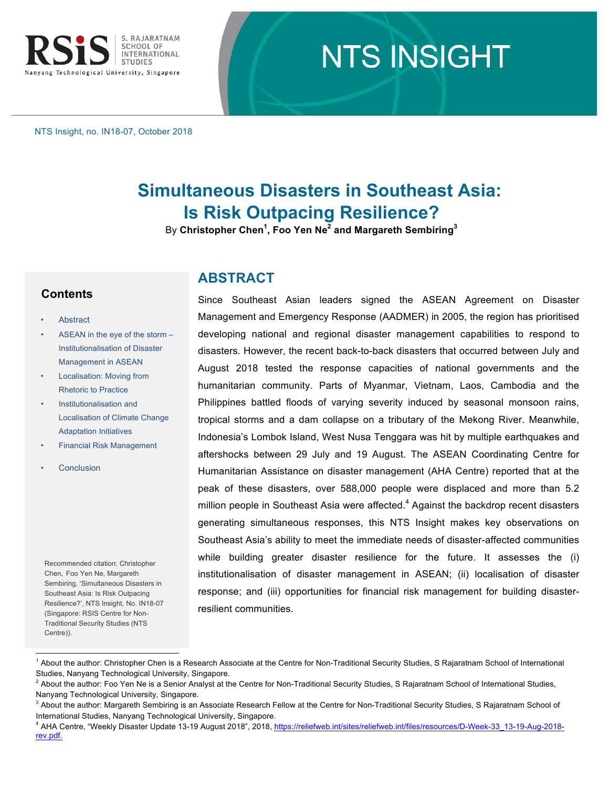

# **NTS INSIGHT**

NTS Insight, no. IN18-07, October 2018

## **Simultaneous Disasters in Southeast Asia: Is Risk Outpacing Resilience?**

By **Christopher Chen<sup>1</sup> , Foo Yen Ne<sup>2</sup> and Margareth Sembiring<sup>3</sup>**

### **Contents**

- **Abstract**
- ASEAN in the eye of the storm Institutionalisation of Disaster Management in ASEAN
- Localisation: Moving from Rhetoric to Practice
- Institutionalisation and Localisation of Climate Change Adaptation Initiatives
- Financial Risk Management
- **Conclusion**

Recommended citation: Christopher Chen, Foo Yen Ne, Margareth Sembiring, 'Simultaneous Disasters in Southeast Asia: Is Risk Outpacing Resilience?', NTS Insight, No. IN18-07 (Singapore: RSIS Centre for Non-Traditional Security Studies (NTS Centre)).

## **ABSTRACT**

Since Southeast Asian leaders signed the ASEAN Agreement on Disaster Management and Emergency Response (AADMER) in 2005, the region has prioritised developing national and regional disaster management capabilities to respond to disasters. However, the recent back-to-back disasters that occurred between July and August 2018 tested the response capacities of national governments and the humanitarian community. Parts of Myanmar, Vietnam, Laos, Cambodia and the Philippines battled floods of varying severity induced by seasonal monsoon rains, tropical storms and a dam collapse on a tributary of the Mekong River. Meanwhile, Indonesia's Lombok Island, West Nusa Tenggara was hit by multiple earthquakes and aftershocks between 29 July and 19 August. The ASEAN Coordinating Centre for Humanitarian Assistance on disaster management (AHA Centre) reported that at the peak of these disasters, over 588,000 people were displaced and more than 5.2 million people in Southeast Asia were affected. $4$  Against the backdrop recent disasters generating simultaneous responses, this NTS Insight makes key observations on Southeast Asia's ability to meet the immediate needs of disaster-affected communities while building greater disaster resilience for the future. It assesses the (i) institutionalisation of disaster management in ASEAN; (ii) localisation of disaster response; and (iii) opportunities for financial risk management for building disasterresilient communities.

 $^1$  About the author: Christopher Chen is a Research Associate at the Centre for Non-Traditional Security Studies, S Rajaratnam School of International Studies, Nanyang Technological University, Singapore.

<sup>2</sup> About the author: Foo Yen Ne is a Senior Analyst at the Centre for Non-Traditional Security Studies, S Rajaratnam School of International Studies, Nanyang Technological University, Singapore.

 $^3$  About the author: Margareth Sembiring is an Associate Research Fellow at the Centre for Non-Traditional Security Studies, S Rajaratnam School of International Studies, Nanyang Technological University, Singapore.

<sup>4</sup> AHA Centre, "Weekly Disaster Update 13-19 August 2018", 2018, https://reliefweb.int/sites/reliefweb.int/files/resources/D-Week-33\_13-19-Aug-2018 rev.pdf.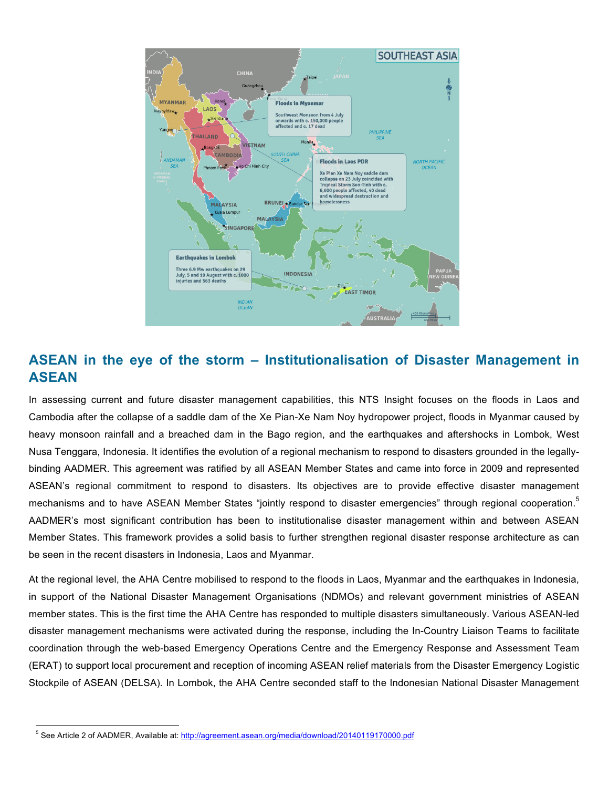

## **ASEAN in the eye of the storm – Institutionalisation of Disaster Management in ASEAN**

In assessing current and future disaster management capabilities, this NTS Insight focuses on the floods in Laos and Cambodia after the collapse of a saddle dam of the Xe Pian-Xe Nam Noy hydropower project, floods in Myanmar caused by heavy monsoon rainfall and a breached dam in the Bago region, and the earthquakes and aftershocks in Lombok, West Nusa Tenggara, Indonesia. It identifies the evolution of a regional mechanism to respond to disasters grounded in the legallybinding AADMER. This agreement was ratified by all ASEAN Member States and came into force in 2009 and represented ASEAN's regional commitment to respond to disasters. Its objectives are to provide effective disaster management mechanisms and to have ASEAN Member States "jointly respond to disaster emergencies" through regional cooperation.<sup>5</sup> AADMER's most significant contribution has been to institutionalise disaster management within and between ASEAN Member States. This framework provides a solid basis to further strengthen regional disaster response architecture as can be seen in the recent disasters in Indonesia, Laos and Myanmar.

At the regional level, the AHA Centre mobilised to respond to the floods in Laos, Myanmar and the earthquakes in Indonesia, in support of the National Disaster Management Organisations (NDMOs) and relevant government ministries of ASEAN member states. This is the first time the AHA Centre has responded to multiple disasters simultaneously. Various ASEAN-led disaster management mechanisms were activated during the response, including the In-Country Liaison Teams to facilitate coordination through the web-based Emergency Operations Centre and the Emergency Response and Assessment Team (ERAT) to support local procurement and reception of incoming ASEAN relief materials from the Disaster Emergency Logistic Stockpile of ASEAN (DELSA). In Lombok, the AHA Centre seconded staff to the Indonesian National Disaster Management

<sup>&</sup>lt;sup>5</sup> See Article 2 of AADMER, Available at: http://agreement.asean.org/media/download/20140119170000.pdf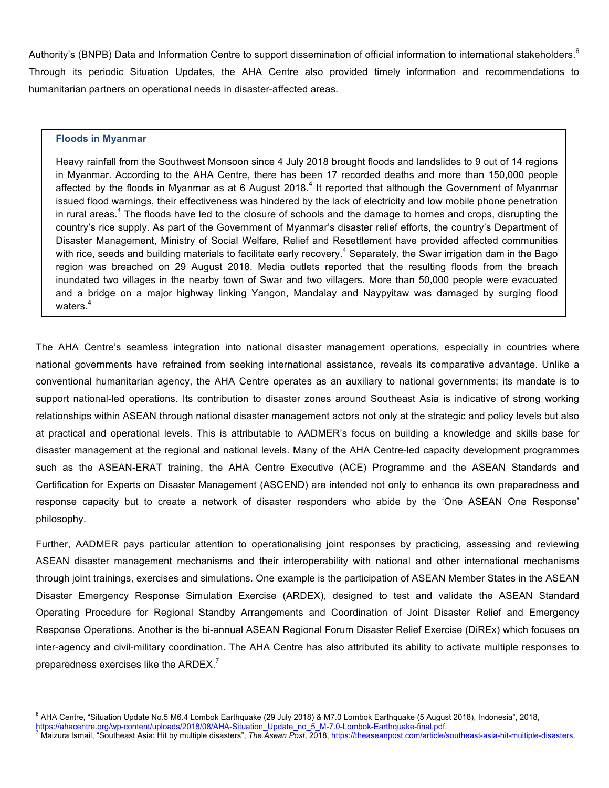Authority's (BNPB) Data and Information Centre to support dissemination of official information to international stakeholders.<sup>6</sup> Through its periodic Situation Updates, the AHA Centre also provided timely information and recommendations to humanitarian partners on operational needs in disaster-affected areas.

#### **Floods in Myanmar**

Heavy rainfall from the Southwest Monsoon since 4 July 2018 brought floods and landslides to 9 out of 14 regions in Myanmar. According to the AHA Centre, there has been 17 recorded deaths and more than 150,000 people affected by the floods in Myanmar as at 6 August 2018.<sup>4</sup> It reported that although the Government of Myanmar issued flood warnings, their effectiveness was hindered by the lack of electricity and low mobile phone penetration in rural areas.<sup>4</sup> The floods have led to the closure of schools and the damage to homes and crops, disrupting the country's rice supply. As part of the Government of Myanmar's disaster relief efforts, the country's Department of Disaster Management, Ministry of Social Welfare, Relief and Resettlement have provided affected communities with rice, seeds and building materials to facilitate early recovery.<sup>4</sup> Separately, the Swar irrigation dam in the Bago region was breached on 29 August 2018. Media outlets reported that the resulting floods from the breach inundated two villages in the nearby town of Swar and two villagers. More than 50,000 people were evacuated and a bridge on a major highway linking Yangon, Mandalay and Naypyitaw was damaged by surging flood waters.<sup>4</sup>

The AHA Centre's seamless integration into national disaster management operations, especially in countries where national governments have refrained from seeking international assistance, reveals its comparative advantage. Unlike a conventional humanitarian agency, the AHA Centre operates as an auxiliary to national governments; its mandate is to support national-led operations. Its contribution to disaster zones around Southeast Asia is indicative of strong working relationships within ASEAN through national disaster management actors not only at the strategic and policy levels but also at practical and operational levels. This is attributable to AADMER's focus on building a knowledge and skills base for disaster management at the regional and national levels. Many of the AHA Centre-led capacity development programmes such as the ASEAN-ERAT training, the AHA Centre Executive (ACE) Programme and the ASEAN Standards and Certification for Experts on Disaster Management (ASCEND) are intended not only to enhance its own preparedness and response capacity but to create a network of disaster responders who abide by the 'One ASEAN One Response' philosophy.

Further, AADMER pays particular attention to operationalising joint responses by practicing, assessing and reviewing ASEAN disaster management mechanisms and their interoperability with national and other international mechanisms through joint trainings, exercises and simulations. One example is the participation of ASEAN Member States in the ASEAN Disaster Emergency Response Simulation Exercise (ARDEX), designed to test and validate the ASEAN Standard Operating Procedure for Regional Standby Arrangements and Coordination of Joint Disaster Relief and Emergency Response Operations. Another is the bi-annual ASEAN Regional Forum Disaster Relief Exercise (DiREx) which focuses on inter-agency and civil-military coordination. The AHA Centre has also attributed its ability to activate multiple responses to preparedness exercises like the ARDEX.<sup>7</sup>

<sup>&</sup>lt;sup>6</sup> AHA Centre, "Situation Update No.5 M6.4 Lombok Earthquake (29 July 2018) & M7.0 Lombok Earthquake (5 August 2018), Indonesia", 2018,<br>https://ahacentre.org/wp-content/uploads/2018/08/AHA-Situation\_Update\_no\_5\_M-7.0-Lomb

Maizura Ismail, "Southeast Asia: Hit by multiple disasters", The Asean Post, 2018, https://theaseanpost.com/article/southeast-asia-hit-multiple-disasters.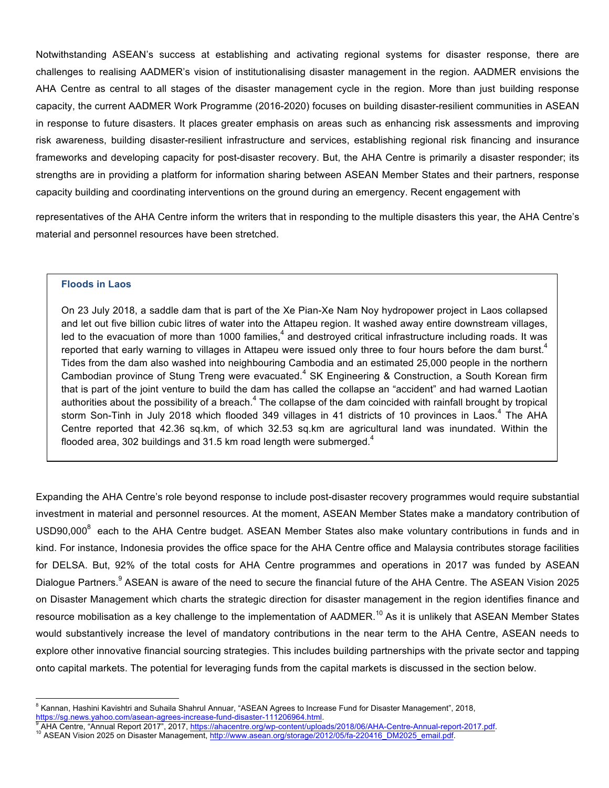Notwithstanding ASEAN's success at establishing and activating regional systems for disaster response, there are challenges to realising AADMER's vision of institutionalising disaster management in the region. AADMER envisions the AHA Centre as central to all stages of the disaster management cycle in the region. More than just building response capacity, the current AADMER Work Programme (2016-2020) focuses on building disaster-resilient communities in ASEAN in response to future disasters. It places greater emphasis on areas such as enhancing risk assessments and improving risk awareness, building disaster-resilient infrastructure and services, establishing regional risk financing and insurance frameworks and developing capacity for post-disaster recovery. But, the AHA Centre is primarily a disaster responder; its strengths are in providing a platform for information sharing between ASEAN Member States and their partners, response capacity building and coordinating interventions on the ground during an emergency. Recent engagement with

representatives of the AHA Centre inform the writers that in responding to the multiple disasters this year, the AHA Centre's material and personnel resources have been stretched.

#### **Floods in Laos**

On 23 July 2018, a saddle dam that is part of the Xe Pian-Xe Nam Noy hydropower project in Laos collapsed and let out five billion cubic litres of water into the Attapeu region. It washed away entire downstream villages, led to the evacuation of more than 1000 families,<sup>4</sup> and destroyed critical infrastructure including roads. It was reported that early warning to villages in Attapeu were issued only three to four hours before the dam burst.<sup>4</sup> Tides from the dam also washed into neighbouring Cambodia and an estimated 25,000 people in the northern Cambodian province of Stung Treng were evacuated.<sup>4</sup> SK Engineering & Construction, a South Korean firm that is part of the joint venture to build the dam has called the collapse an "accident" and had warned Laotian authorities about the possibility of a breach. $4$  The collapse of the dam coincided with rainfall brought by tropical storm Son-Tinh in July 2018 which flooded 349 villages in 41 districts of 10 provinces in Laos.<sup>4</sup> The AHA Centre reported that 42.36 sq.km, of which 32.53 sq.km are agricultural land was inundated. Within the flooded area, 302 buildings and 31.5 km road length were submerged. $4$ 

Expanding the AHA Centre's role beyond response to include post-disaster recovery programmes would require substantial investment in material and personnel resources. At the moment, ASEAN Member States make a mandatory contribution of USD90,000<sup>8</sup> each to the AHA Centre budget. ASEAN Member States also make voluntary contributions in funds and in kind. For instance, Indonesia provides the office space for the AHA Centre office and Malaysia contributes storage facilities for DELSA. But, 92% of the total costs for AHA Centre programmes and operations in 2017 was funded by ASEAN Dialogue Partners.<sup>9</sup> ASEAN is aware of the need to secure the financial future of the AHA Centre. The ASEAN Vision 2025 on Disaster Management which charts the strategic direction for disaster management in the region identifies finance and resource mobilisation as a key challenge to the implementation of AADMER.<sup>10</sup> As it is unlikely that ASEAN Member States would substantively increase the level of mandatory contributions in the near term to the AHA Centre, ASEAN needs to explore other innovative financial sourcing strategies. This includes building partnerships with the private sector and tapping onto capital markets. The potential for leveraging funds from the capital markets is discussed in the section below.

<sup>&</sup>lt;sup>8</sup> Kannan, Hashini Kavishtri and Suhaila Shahrul Annuar, "ASEAN Agrees to Increase Fund for Disaster Management", 2018,

<sup>&</sup>lt;u>https://sg.news.yahoo.com/asean-agrees-increase-fund-disaster-111206964.html</u>.<br><sup>9</sup> AHA Centre, "Annual Report 2017", 2017, <u>https://ahacentre.org/wp-content/uploads/2018/06/AHA-Centre-Annual-report-2017.pdf</u>.<br><sup>10</sup> ASEAN V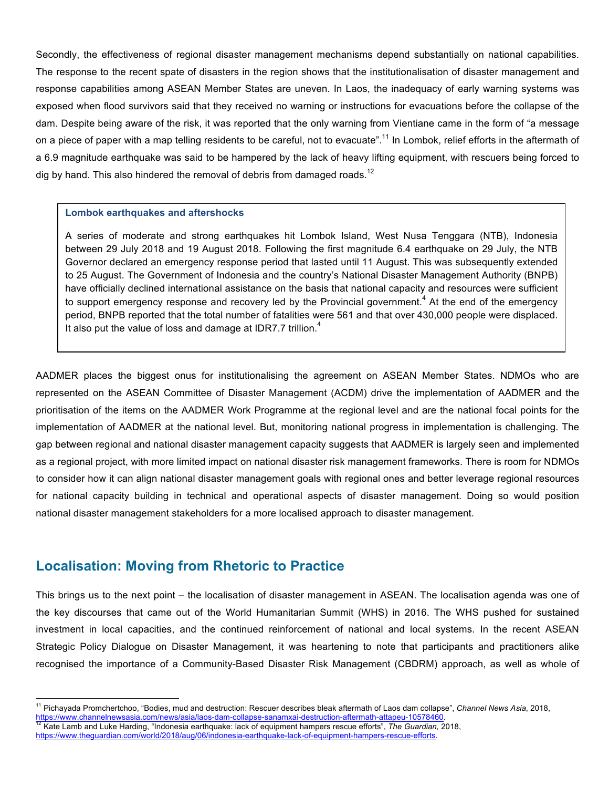Secondly, the effectiveness of regional disaster management mechanisms depend substantially on national capabilities. The response to the recent spate of disasters in the region shows that the institutionalisation of disaster management and response capabilities among ASEAN Member States are uneven. In Laos, the inadequacy of early warning systems was exposed when flood survivors said that they received no warning or instructions for evacuations before the collapse of the dam. Despite being aware of the risk, it was reported that the only warning from Vientiane came in the form of "a message on a piece of paper with a map telling residents to be careful, not to evacuate".<sup>11</sup> In Lombok, relief efforts in the aftermath of a 6.9 magnitude earthquake was said to be hampered by the lack of heavy lifting equipment, with rescuers being forced to dig by hand. This also hindered the removal of debris from damaged roads.<sup>12</sup>

#### **Lombok earthquakes and aftershocks**

A series of moderate and strong earthquakes hit Lombok Island, West Nusa Tenggara (NTB), Indonesia between 29 July 2018 and 19 August 2018. Following the first magnitude 6.4 earthquake on 29 July, the NTB Governor declared an emergency response period that lasted until 11 August. This was subsequently extended to 25 August. The Government of Indonesia and the country's National Disaster Management Authority (BNPB) have officially declined international assistance on the basis that national capacity and resources were sufficient to support emergency response and recovery led by the Provincial government.<sup>4</sup> At the end of the emergency period, BNPB reported that the total number of fatalities were 561 and that over 430,000 people were displaced. It also put the value of loss and damage at IDR7.7 trillion. $4$ 

AADMER places the biggest onus for institutionalising the agreement on ASEAN Member States. NDMOs who are represented on the ASEAN Committee of Disaster Management (ACDM) drive the implementation of AADMER and the prioritisation of the items on the AADMER Work Programme at the regional level and are the national focal points for the implementation of AADMER at the national level. But, monitoring national progress in implementation is challenging. The gap between regional and national disaster management capacity suggests that AADMER is largely seen and implemented as a regional project, with more limited impact on national disaster risk management frameworks. There is room for NDMOs to consider how it can align national disaster management goals with regional ones and better leverage regional resources for national capacity building in technical and operational aspects of disaster management. Doing so would position national disaster management stakeholders for a more localised approach to disaster management.

## **Localisation: Moving from Rhetoric to Practice**

This brings us to the next point – the localisation of disaster management in ASEAN. The localisation agenda was one of the key discourses that came out of the World Humanitarian Summit (WHS) in 2016. The WHS pushed for sustained investment in local capacities, and the continued reinforcement of national and local systems. In the recent ASEAN Strategic Policy Dialogue on Disaster Management, it was heartening to note that participants and practitioners alike recognised the importance of a Community-Based Disaster Risk Management (CBDRM) approach, as well as whole of

 <sup>11</sup> Pichayada Promchertchoo, "Bodies, mud and destruction: Rescuer describes bleak aftermath of Laos dam collapse", *Channel News Asia*, 2018,

<sup>&</sup>lt;u>https://www.channelnewsasia.com/news/asia/laos-dam-collapse-sanamxai-destruction-aftermath-attapeu-10578460</u>.<br><sup>12</sup> Kate Lamb and Luke Harding, "Indonesia earthquake: lack of equipment hampers rescue efforts", *The Guardia* 

https://www.theguardian.com/world/2018/aug/06/indonesia-earthquake-lack-of-equipment-hampers-rescue-efforts.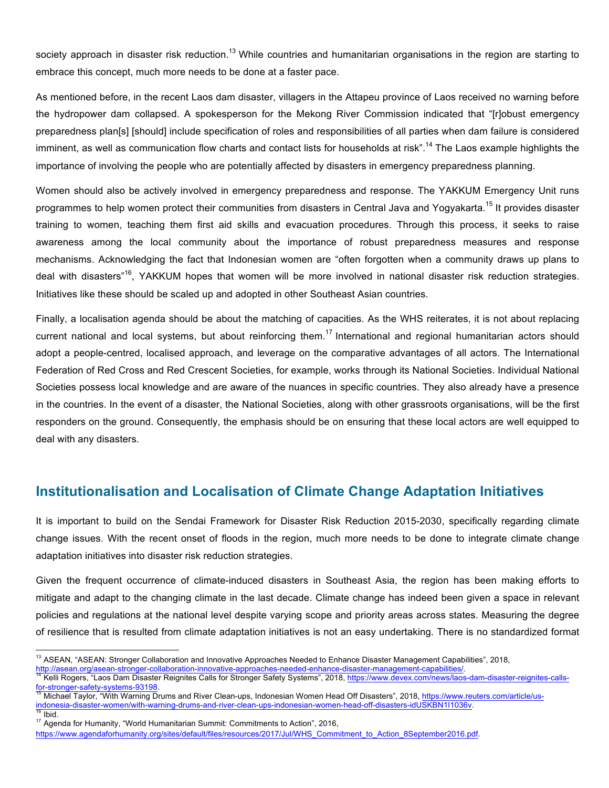society approach in disaster risk reduction.<sup>13</sup> While countries and humanitarian organisations in the region are starting to embrace this concept, much more needs to be done at a faster pace.

As mentioned before, in the recent Laos dam disaster, villagers in the Attapeu province of Laos received no warning before the hydropower dam collapsed. A spokesperson for the Mekong River Commission indicated that "[r]obust emergency preparedness plan[s] [should] include specification of roles and responsibilities of all parties when dam failure is considered imminent, as well as communication flow charts and contact lists for households at risk".<sup>14</sup> The Laos example highlights the importance of involving the people who are potentially affected by disasters in emergency preparedness planning.

Women should also be actively involved in emergency preparedness and response. The YAKKUM Emergency Unit runs programmes to help women protect their communities from disasters in Central Java and Yogyakarta.<sup>15</sup> It provides disaster training to women, teaching them first aid skills and evacuation procedures. Through this process, it seeks to raise awareness among the local community about the importance of robust preparedness measures and response mechanisms. Acknowledging the fact that Indonesian women are "often forgotten when a community draws up plans to deal with disasters<sup>"16</sup>, YAKKUM hopes that women will be more involved in national disaster risk reduction strategies. Initiatives like these should be scaled up and adopted in other Southeast Asian countries.

Finally, a localisation agenda should be about the matching of capacities. As the WHS reiterates, it is not about replacing current national and local systems, but about reinforcing them.<sup>17</sup> International and regional humanitarian actors should adopt a people-centred, localised approach, and leverage on the comparative advantages of all actors. The International Federation of Red Cross and Red Crescent Societies, for example, works through its National Societies. Individual National Societies possess local knowledge and are aware of the nuances in specific countries. They also already have a presence in the countries. In the event of a disaster, the National Societies, along with other grassroots organisations, will be the first responders on the ground. Consequently, the emphasis should be on ensuring that these local actors are well equipped to deal with any disasters.

## **Institutionalisation and Localisation of Climate Change Adaptation Initiatives**

It is important to build on the Sendai Framework for Disaster Risk Reduction 2015-2030, specifically regarding climate change issues. With the recent onset of floods in the region, much more needs to be done to integrate climate change adaptation initiatives into disaster risk reduction strategies.

Given the frequent occurrence of climate-induced disasters in Southeast Asia, the region has been making efforts to mitigate and adapt to the changing climate in the last decade. Climate change has indeed been given a space in relevant policies and regulations at the national level despite varying scope and priority areas across states. Measuring the degree of resilience that is resulted from climate adaptation initiatives is not an easy undertaking. There is no standardized format

<sup>&</sup>lt;sup>13</sup> ASEAN, "ASEAN: Stronger Collaboration and Innovative Approaches Needed to Enhance Disaster Management Capabilities", 2018,

http://asean.org/asean-stronger-collaboration-innovative-approaches-needed-enhance-disaster-management-capabilities/<br><sup>14</sup> Kelli Rogers, "Laos Dam Disaster Reignites Calls for Stronger Safety Systems", 2018, https://www.dev Michael Taylor, "With Warning Drums and River Clean-ups, Indonesian Women Head Off Disasters", 2018, https://www.reuters.com/article/us-

indonesia-disaster-women/with-warning-drums-and-river-clean-ups-indonesian-women-head-off-disasters-idUSKBN1I1036v.<br><sup>16</sup> Ibid. 16 Ibid. 16 Ibid. 17 Agenda for Humanity, "World Humanitarian Summit: Commitments to Action", 2

https://www.agendaforhumanity.org/sites/default/files/resources/2017/Jul/WHS\_Commitment\_to\_Action\_8September2016.pdf.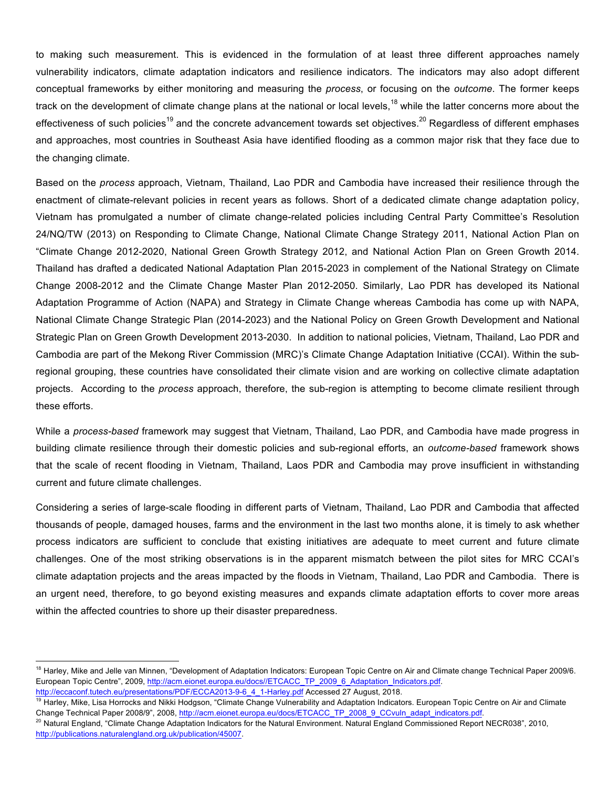to making such measurement. This is evidenced in the formulation of at least three different approaches namely vulnerability indicators, climate adaptation indicators and resilience indicators. The indicators may also adopt different conceptual frameworks by either monitoring and measuring the *process*, or focusing on the *outcome*. The former keeps track on the development of climate change plans at the national or local levels,<sup>18</sup> while the latter concerns more about the effectiveness of such policies<sup>19</sup> and the concrete advancement towards set objectives.<sup>20</sup> Regardless of different emphases and approaches, most countries in Southeast Asia have identified flooding as a common major risk that they face due to the changing climate.

Based on the *process* approach, Vietnam, Thailand, Lao PDR and Cambodia have increased their resilience through the enactment of climate-relevant policies in recent years as follows. Short of a dedicated climate change adaptation policy, Vietnam has promulgated a number of climate change-related policies including Central Party Committee's Resolution 24/NQ/TW (2013) on Responding to Climate Change, National Climate Change Strategy 2011, National Action Plan on "Climate Change 2012-2020, National Green Growth Strategy 2012, and National Action Plan on Green Growth 2014. Thailand has drafted a dedicated National Adaptation Plan 2015-2023 in complement of the National Strategy on Climate Change 2008-2012 and the Climate Change Master Plan 2012-2050. Similarly, Lao PDR has developed its National Adaptation Programme of Action (NAPA) and Strategy in Climate Change whereas Cambodia has come up with NAPA, National Climate Change Strategic Plan (2014-2023) and the National Policy on Green Growth Development and National Strategic Plan on Green Growth Development 2013-2030. In addition to national policies, Vietnam, Thailand, Lao PDR and Cambodia are part of the Mekong River Commission (MRC)'s Climate Change Adaptation Initiative (CCAI). Within the subregional grouping, these countries have consolidated their climate vision and are working on collective climate adaptation projects. According to the *process* approach, therefore, the sub-region is attempting to become climate resilient through these efforts.

While a *process-based* framework may suggest that Vietnam, Thailand, Lao PDR, and Cambodia have made progress in building climate resilience through their domestic policies and sub-regional efforts, an *outcome-based* framework shows that the scale of recent flooding in Vietnam, Thailand, Laos PDR and Cambodia may prove insufficient in withstanding current and future climate challenges.

Considering a series of large-scale flooding in different parts of Vietnam, Thailand, Lao PDR and Cambodia that affected thousands of people, damaged houses, farms and the environment in the last two months alone, it is timely to ask whether process indicators are sufficient to conclude that existing initiatives are adequate to meet current and future climate challenges. One of the most striking observations is in the apparent mismatch between the pilot sites for MRC CCAI's climate adaptation projects and the areas impacted by the floods in Vietnam, Thailand, Lao PDR and Cambodia. There is an urgent need, therefore, to go beyond existing measures and expands climate adaptation efforts to cover more areas within the affected countries to shore up their disaster preparedness.

<sup>&</sup>lt;sup>18</sup> Harley, Mike and Jelle van Minnen, "Development of Adaptation Indicators: European Topic Centre on Air and Climate change Technical Paper 2009/6. European Topic Centre", 2009, http://acm.eionet.europa.eu/docs//ETCACC\_TP\_2009\_6\_Adaptation\_Indicators.pdf.

http://eccaconf.tutech.eu/presentations/PDF/ECCA2013-9-6\_4\_1-Harley.pdf Accessed 27 August, 2018.

<sup>&</sup>lt;sup>19</sup> Harley, Mike, Lisa Horrocks and Nikki Hodgson, "Climate Change Vulnerability and Adaptation Indicators. European Topic Centre on Air and Climate Change Technical Paper 2008/9", 2008, http://acm.eionet.europa.eu/docs/ETCACC\_TP\_2008\_9\_CCvuln\_adapt\_indicators.pdf.

<sup>&</sup>lt;sup>20</sup> Natural England, "Climate Change Adaptation Indicators for the Natural Environment. Natural England Commissioned Report NECR038", 2010, http://publications.naturalengland.org.uk/publication/45007.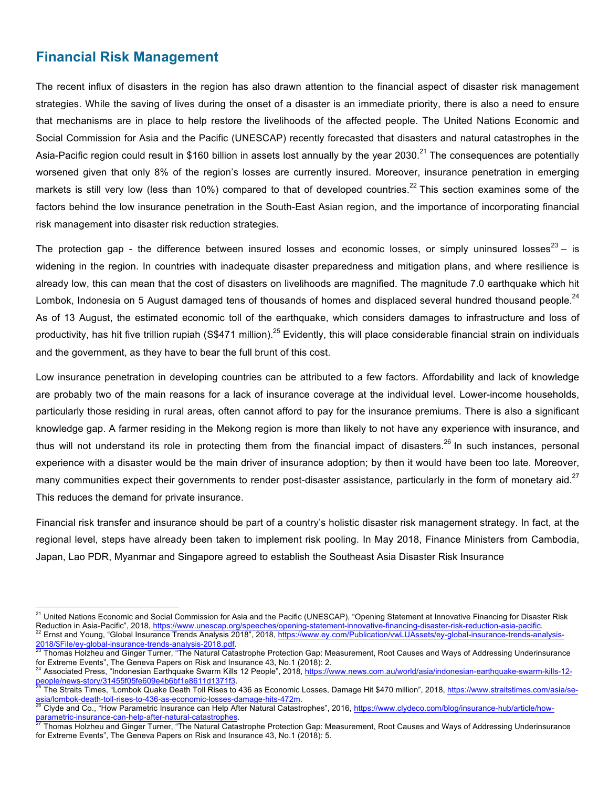## **Financial Risk Management**

The recent influx of disasters in the region has also drawn attention to the financial aspect of disaster risk management strategies. While the saving of lives during the onset of a disaster is an immediate priority, there is also a need to ensure that mechanisms are in place to help restore the livelihoods of the affected people. The United Nations Economic and Social Commission for Asia and the Pacific (UNESCAP) recently forecasted that disasters and natural catastrophes in the Asia-Pacific region could result in \$160 billion in assets lost annually by the year 2030.<sup>21</sup> The consequences are potentially worsened given that only 8% of the region's losses are currently insured. Moreover, insurance penetration in emerging markets is still very low (less than 10%) compared to that of developed countries.<sup>22</sup> This section examines some of the factors behind the low insurance penetration in the South-East Asian region, and the importance of incorporating financial risk management into disaster risk reduction strategies.

The protection gap - the difference between insured losses and economic losses, or simply uninsured losses<sup>23</sup> – is widening in the region. In countries with inadequate disaster preparedness and mitigation plans, and where resilience is already low, this can mean that the cost of disasters on livelihoods are magnified. The magnitude 7.0 earthquake which hit Lombok, Indonesia on 5 August damaged tens of thousands of homes and displaced several hundred thousand people.<sup>24</sup> As of 13 August, the estimated economic toll of the earthquake, which considers damages to infrastructure and loss of productivity, has hit five trillion rupiah (S\$471 million).<sup>25</sup> Evidently, this will place considerable financial strain on individuals and the government, as they have to bear the full brunt of this cost.

Low insurance penetration in developing countries can be attributed to a few factors. Affordability and lack of knowledge are probably two of the main reasons for a lack of insurance coverage at the individual level. Lower-income households, particularly those residing in rural areas, often cannot afford to pay for the insurance premiums. There is also a significant knowledge gap. A farmer residing in the Mekong region is more than likely to not have any experience with insurance, and thus will not understand its role in protecting them from the financial impact of disasters.<sup>26</sup> In such instances, personal experience with a disaster would be the main driver of insurance adoption; by then it would have been too late. Moreover, many communities expect their governments to render post-disaster assistance, particularly in the form of monetary aid. $27$ This reduces the demand for private insurance.

Financial risk transfer and insurance should be part of a country's holistic disaster risk management strategy. In fact, at the regional level, steps have already been taken to implement risk pooling. In May 2018, Finance Ministers from Cambodia, Japan, Lao PDR, Myanmar and Singapore agreed to establish the Southeast Asia Disaster Risk Insurance

<sup>&</sup>lt;sup>21</sup> United Nations Economic and Social Commission for Asia and the Pacific (UNESCAP), "Opening Statement at Innovative Financing for Disaster Risk Reduction in Asia-Pacific", 2018, https://www.unescap.org/speeches/opening-statement-innovative-financing-disaster-risk-reduction-asia-pacific.<br><sup>22</sup> Ernst and Young, "Global Insurance Trends Analysis 2018", 2018, https://w

<sup>2018/\$</sup>File/ey-global-insurance-trends-analysis-2018.pdf.<br><sup>23</sup> Thomas Holzheu and Ginger Turner, "The Natural Catastrophe Protection Gap: Measurement, Root Causes and Ways of Addressing Underinsurance

for Extreme Events", The Geneva Papers on Risk and Insurance 43, No.1 (2018): 2.

<sup>&</sup>lt;sup>24</sup> Associated Press, "Indonesian Earthquake Swarm Kills 12 People", 2018, https://www.news.com.au/world/asia/indonesian-earthquake-swarm-kills-12-<br>people/news-story/31455f05fe609e4b6bf1e8611d1371f3.<br><sup>25</sup> The Straits Time

<sup>&</sup>lt;sup>25</sup> The Straits Times, "Lombok Quake Death Toll Rises to 436 as Economic Losses, Damage Hit \$470 million", 2018, https://www.straitstimes.com/asia/se-<br>asia/lombok-death-toll-rises-to-436-as-economic-losses-damage-hits-472

<sup>&</sup>lt;sup>26</sup> Clyde and Co., "How Parametric Insurance can Help After Natural Catastrophes", 2016, https://www.clydeco.com/blog/insurance-hub/article/how-<br>parametric-insurance-can-help-after-natural-catastrophes.<br><sup>27</sup> Thomas Helzh

Thomas Holzheu and Ginger Turner, "The Natural Catastrophe Protection Gap: Measurement, Root Causes and Ways of Addressing Underinsurance for Extreme Events", The Geneva Papers on Risk and Insurance 43, No.1 (2018): 5.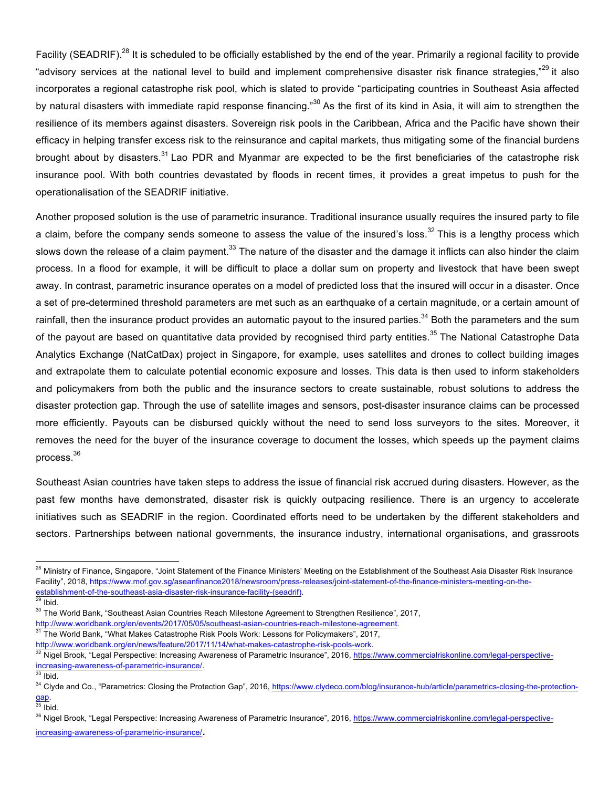Facility (SEADRIF).<sup>28</sup> It is scheduled to be officially established by the end of the year. Primarily a regional facility to provide "advisory services at the national level to build and implement comprehensive disaster risk finance strategies,"<sup>29</sup> it also incorporates a regional catastrophe risk pool, which is slated to provide "participating countries in Southeast Asia affected by natural disasters with immediate rapid response financing."<sup>30</sup> As the first of its kind in Asia, it will aim to strengthen the resilience of its members against disasters. Sovereign risk pools in the Caribbean, Africa and the Pacific have shown their efficacy in helping transfer excess risk to the reinsurance and capital markets, thus mitigating some of the financial burdens brought about by disasters.<sup>31</sup> Lao PDR and Myanmar are expected to be the first beneficiaries of the catastrophe risk insurance pool. With both countries devastated by floods in recent times, it provides a great impetus to push for the operationalisation of the SEADRIF initiative.

Another proposed solution is the use of parametric insurance. Traditional insurance usually requires the insured party to file a claim, before the company sends someone to assess the value of the insured's loss.<sup>32</sup> This is a lengthy process which slows down the release of a claim payment.<sup>33</sup> The nature of the disaster and the damage it inflicts can also hinder the claim process. In a flood for example, it will be difficult to place a dollar sum on property and livestock that have been swept away. In contrast, parametric insurance operates on a model of predicted loss that the insured will occur in a disaster. Once a set of pre-determined threshold parameters are met such as an earthquake of a certain magnitude, or a certain amount of rainfall, then the insurance product provides an automatic payout to the insured parties.<sup>34</sup> Both the parameters and the sum of the payout are based on quantitative data provided by recognised third party entities.<sup>35</sup> The National Catastrophe Data Analytics Exchange (NatCatDax) project in Singapore, for example, uses satellites and drones to collect building images and extrapolate them to calculate potential economic exposure and losses. This data is then used to inform stakeholders and policymakers from both the public and the insurance sectors to create sustainable, robust solutions to address the disaster protection gap. Through the use of satellite images and sensors, post-disaster insurance claims can be processed more efficiently. Payouts can be disbursed quickly without the need to send loss surveyors to the sites. Moreover, it removes the need for the buyer of the insurance coverage to document the losses, which speeds up the payment claims process.36

Southeast Asian countries have taken steps to address the issue of financial risk accrued during disasters. However, as the past few months have demonstrated, disaster risk is quickly outpacing resilience. There is an urgency to accelerate initiatives such as SEADRIF in the region. Coordinated efforts need to be undertaken by the different stakeholders and sectors. Partnerships between national governments, the insurance industry, international organisations, and grassroots

<sup>&</sup>lt;sup>28</sup> Ministry of Finance, Singapore, "Joint Statement of the Finance Ministers' Meeting on the Establishment of the Southeast Asia Disaster Risk Insurance Facility", 2018, https://www.mof.gov.sg/aseanfinance2018/newsroom/press-releases/joint-statement-of-the-finance-ministers-meeting-on-theestablishment-of-the-southeast-asia-disaster-risk-insurance-facility-(seadrif). 29 Ibid.

<sup>&</sup>lt;sup>30</sup> The World Bank, "Southeast Asian Countries Reach Milestone Agreement to Strengthen Resilience", 2017,<br>http://www.worldbank.org/en/events/2017/05/05/southeast-asian-countries-reach-milestone-agreement.

 $31$  The World Bank, "What Makes Catastrophe Risk Pools Work: Lessons for Policymakers", 2017,

http://www.worldbank.org/en/news/feature/2017/11/14/what-makes-catastrophe-risk-pools-work.<br><sup>32</sup> Nigel Brook, "Legal Perspective: Increasing Awareness of Parametric Insurance", 2016, https://www.commercialriskonline.com/le increasing-awareness-of-parametric-insurance/. 33 Ibid.

<sup>&</sup>lt;sup>34</sup> Clyde and Co., "Parametrics: Closing the Protection Gap", 2016, https://www.clydeco.com/blog/insurance-hub/article/parametrics-closing-the-protectiongap<br><sup>35</sup> Ibid.

<sup>&</sup>lt;sup>36</sup> Nigel Brook, "Legal Perspective: Increasing Awareness of Parametric Insurance", 2016, <u>https://www.commercialriskonline.com/legal-perspective-</u> increasing-awareness-of-parametric-insurance/.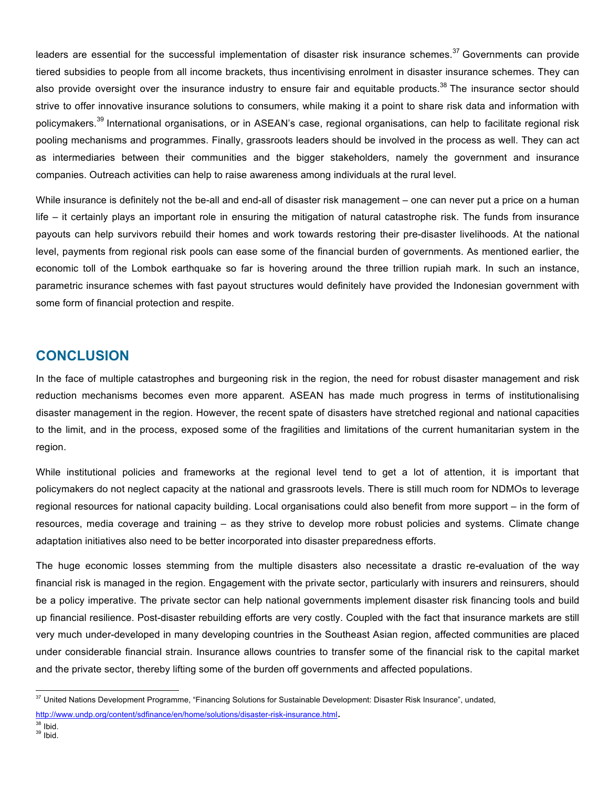leaders are essential for the successful implementation of disaster risk insurance schemes.<sup>37</sup> Governments can provide tiered subsidies to people from all income brackets, thus incentivising enrolment in disaster insurance schemes. They can also provide oversight over the insurance industry to ensure fair and equitable products.<sup>38</sup> The insurance sector should strive to offer innovative insurance solutions to consumers, while making it a point to share risk data and information with policymakers.<sup>39</sup> International organisations, or in ASEAN's case, regional organisations, can help to facilitate regional risk pooling mechanisms and programmes. Finally, grassroots leaders should be involved in the process as well. They can act as intermediaries between their communities and the bigger stakeholders, namely the government and insurance companies. Outreach activities can help to raise awareness among individuals at the rural level.

While insurance is definitely not the be-all and end-all of disaster risk management – one can never put a price on a human life – it certainly plays an important role in ensuring the mitigation of natural catastrophe risk. The funds from insurance payouts can help survivors rebuild their homes and work towards restoring their pre-disaster livelihoods. At the national level, payments from regional risk pools can ease some of the financial burden of governments. As mentioned earlier, the economic toll of the Lombok earthquake so far is hovering around the three trillion rupiah mark. In such an instance, parametric insurance schemes with fast payout structures would definitely have provided the Indonesian government with some form of financial protection and respite.

## **CONCLUSION**

In the face of multiple catastrophes and burgeoning risk in the region, the need for robust disaster management and risk reduction mechanisms becomes even more apparent. ASEAN has made much progress in terms of institutionalising disaster management in the region. However, the recent spate of disasters have stretched regional and national capacities to the limit, and in the process, exposed some of the fragilities and limitations of the current humanitarian system in the region.

While institutional policies and frameworks at the regional level tend to get a lot of attention, it is important that policymakers do not neglect capacity at the national and grassroots levels. There is still much room for NDMOs to leverage regional resources for national capacity building. Local organisations could also benefit from more support – in the form of resources, media coverage and training – as they strive to develop more robust policies and systems. Climate change adaptation initiatives also need to be better incorporated into disaster preparedness efforts.

The huge economic losses stemming from the multiple disasters also necessitate a drastic re-evaluation of the way financial risk is managed in the region. Engagement with the private sector, particularly with insurers and reinsurers, should be a policy imperative. The private sector can help national governments implement disaster risk financing tools and build up financial resilience. Post-disaster rebuilding efforts are very costly. Coupled with the fact that insurance markets are still very much under-developed in many developing countries in the Southeast Asian region, affected communities are placed under considerable financial strain. Insurance allows countries to transfer some of the financial risk to the capital market and the private sector, thereby lifting some of the burden off governments and affected populations.

<sup>&</sup>lt;sup>37</sup> United Nations Development Programme, "Financing Solutions for Sustainable Development: Disaster Risk Insurance", undated, http://www.undp.org/content/sdfinance/en/home/solutions/disaster-risk-insurance.html.<br><sup>38</sup> Ibid.<br><sup>39</sup> Ibid.